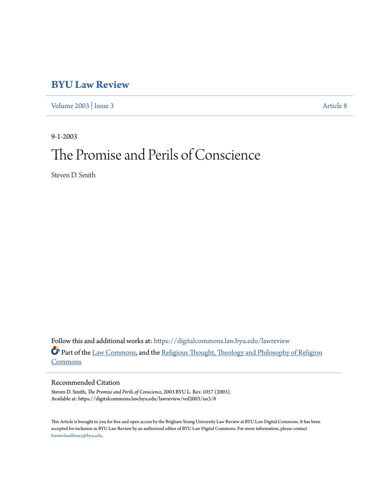# **[BYU Law Review](https://digitalcommons.law.byu.edu/lawreview?utm_source=digitalcommons.law.byu.edu%2Flawreview%2Fvol2003%2Fiss3%2F8&utm_medium=PDF&utm_campaign=PDFCoverPages)**

[Volume 2003](https://digitalcommons.law.byu.edu/lawreview/vol2003?utm_source=digitalcommons.law.byu.edu%2Flawreview%2Fvol2003%2Fiss3%2F8&utm_medium=PDF&utm_campaign=PDFCoverPages) | [Issue 3](https://digitalcommons.law.byu.edu/lawreview/vol2003/iss3?utm_source=digitalcommons.law.byu.edu%2Flawreview%2Fvol2003%2Fiss3%2F8&utm_medium=PDF&utm_campaign=PDFCoverPages) [Article 8](https://digitalcommons.law.byu.edu/lawreview/vol2003/iss3/8?utm_source=digitalcommons.law.byu.edu%2Flawreview%2Fvol2003%2Fiss3%2F8&utm_medium=PDF&utm_campaign=PDFCoverPages)

9-1-2003 The Promise and Perils of Conscience

Steven D. Smith

Follow this and additional works at: [https://digitalcommons.law.byu.edu/lawreview](https://digitalcommons.law.byu.edu/lawreview?utm_source=digitalcommons.law.byu.edu%2Flawreview%2Fvol2003%2Fiss3%2F8&utm_medium=PDF&utm_campaign=PDFCoverPages) Part of the [Law Commons,](http://network.bepress.com/hgg/discipline/578?utm_source=digitalcommons.law.byu.edu%2Flawreview%2Fvol2003%2Fiss3%2F8&utm_medium=PDF&utm_campaign=PDFCoverPages) and the [Religious Thought, Theology and Philosophy of Religion](http://network.bepress.com/hgg/discipline/544?utm_source=digitalcommons.law.byu.edu%2Flawreview%2Fvol2003%2Fiss3%2F8&utm_medium=PDF&utm_campaign=PDFCoverPages) [Commons](http://network.bepress.com/hgg/discipline/544?utm_source=digitalcommons.law.byu.edu%2Flawreview%2Fvol2003%2Fiss3%2F8&utm_medium=PDF&utm_campaign=PDFCoverPages)

### Recommended Citation

Steven D. Smith, *The Promise and Perils of Conscience*, 2003 BYU L. Rev. 1057 (2003). Available at: https://digitalcommons.law.byu.edu/lawreview/vol2003/iss3/8

This Article is brought to you for free and open access by the Brigham Young University Law Review at BYU Law Digital Commons. It has been accepted for inclusion in BYU Law Review by an authorized editor of BYU Law Digital Commons. For more information, please contact [hunterlawlibrary@byu.edu.](mailto:hunterlawlibrary@byu.edu)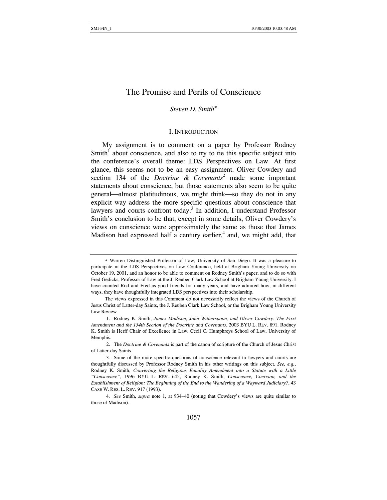## The Promise and Perils of Conscience

*Steven D. Smith*[∗](#page-1-0)

#### I. INTRODUCTION

My assignment is to comment on a paper by Professor Rodney Smith<sup>[1](#page-1-1)</sup> about conscience, and also to try to tie this specific subject into the conference's overall theme: LDS Perspectives on Law. At first glance, this seems not to be an easy assignment. Oliver Cowdery and section 134 of the *Doctrine & Covenants*[2](#page-1-2) made some important statements about conscience, but those statements also seem to be quite general—almost platitudinous, we might think—so they do not in any explicit way address the more specific questions about conscience that lawyers and courts confront today.<sup>3</sup> In addition, I understand Professor Smith's conclusion to be that, except in some details, Oliver Cowdery's views on conscience were approximately the same as those that James Madison had expressed half a century earlier,<sup>[4](#page-1-4)</sup> and, we might add, that

<span id="page-1-0"></span><sup>∗</sup> Warren Distinguished Professor of Law, University of San Diego. It was a pleasure to participate in the LDS Perspectives on Law Conference, held at Brigham Young University on October 19, 2001, and an honor to be able to comment on Rodney Smith's paper, and to do so with Fred Gedicks, Professor of Law at the J. Reuben Clark Law School at Brigham Young University. I have counted Rod and Fred as good friends for many years, and have admired how, in different ways, they have thoughtfully integrated LDS perspectives into their scholarship.

The views expressed in this Comment do not necessarily reflect the views of the Church of Jesus Christ of Latter-day Saints, the J. Reuben Clark Law School, or the Brigham Young University Law Review.

<span id="page-1-1"></span><sup>1.</sup> Rodney K. Smith, *James Madison, John Witherspoon, and Oliver Cowdery: The First Amendment and the 134th Section of the Doctrine and Covenants*, 2003 BYU L. REV. 891. Rodney K. Smith is Herff Chair of Excellence in Law, Cecil C. Humphreys School of Law, University of Memphis.

<span id="page-1-2"></span><sup>2.</sup> The *Doctrine & Covenants* is part of the canon of scripture of the Church of Jesus Christ of Latter-day Saints.

<span id="page-1-3"></span><sup>3.</sup> Some of the more specific questions of conscience relevant to lawyers and courts are thoughtfully discussed by Professor Rodney Smith in his other writings on this subject. *See, e.g.*, Rodney K. Smith, *Converting the Religious Equality Amendment into a Statute with a Little "Conscience"*, 1996 BYU L. REV. 645; Rodney K. Smith, *Conscience, Coercion, and the Establishment of Religion: The Beginning of the End to the Wandering of a Wayward Judiciary?*, 43 CASE W. RES. L. REV. 917 (1993).

<span id="page-1-4"></span><sup>4</sup>*. See* Smith, *supra* note 1, at 934–40 (noting that Cowdery's views are quite similar to those of Madison).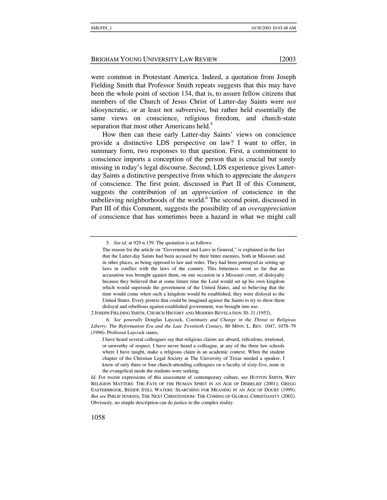were common in Protestant America. Indeed, a quotation from Joseph Fielding Smith that Professor Smith repeats suggests that this may have been the whole point of section 134, that is, to assure fellow citizens that members of the Church of Jesus Christ of Latter-day Saints were *not* idiosyncratic, or at least not subversive, but rather held essentially the same views on conscience, religious freedom, and church-state separation that most other Americans held.<sup>[5](#page-2-0)</sup>

How then can these early Latter-day Saints' views on conscience provide a distinctive LDS perspective on law? I want to offer, in summary form, two responses to that question. First, a commitment to conscience imports a conception of the person that is crucial but sorely missing in today's legal discourse. Second, LDS experience gives Latterday Saints a distinctive perspective from which to appreciate the *dangers* of conscience. The first point, discussed in Part II of this Comment, suggests the contribution of an *appreciation* of conscience in the unbelieving neighborhoods of the world.<sup>6</sup> The second point, discussed in Part III of this Comment, suggests the possibility of an *overappreciation* of conscience that has sometimes been a hazard in what we might call

<span id="page-2-0"></span><sup>5</sup>*. See id*. at 929 n.139. The quotation is as follows:

The reason for the article on "Government and Laws in General," is explained in the fact that the Latter-day Saints had been accused by their bitter enemies, both in Missouri and in other places, as being opposed to law and order. They had been portrayed as setting up laws in conflict with the laws of the country. This bitterness went so far that an accusation was brought against them, on one occasion in a Missouri court, of disloyalty because they believed that at some future time the Lord would set up his own kingdom which would supersede the government of the United States, and so believing that the time would come when such a kingdom would be established, they were disloyal to the United States. Every pretext that could be imagined against the Saints to try to show them disloyal and rebellious against established government, was brought into use.

<sup>2</sup> JOSEPH FIELDING SMITH, CHURCH HISTORY AND MODERN REVELATION 30–31 (1953).

<span id="page-2-1"></span><sup>6</sup>*. See generally* Douglas Laycock, *Continuity and Change in the Threat to Religious Liberty: The Reformation Era and the Late Twentieth Century*, 80 MINN. L. REV. 1047, 1078−79 (1996). Professor Laycock states,

I have heard several colleagues say that religious claims are absurd, ridiculous, irrational, or unworthy of respect. I have never heard a colleague, at any of the three law schools where I have taught, make a religious claim in an academic context. When the student chapter of the Christian Legal Society at The University of Texas needed a speaker, I knew of only three or four church-attending colleagues on a faculty of sixty-five, none in the evangelical mode the students were seeking.

*Id*. For recent expressions of this assessment of contemporary culture, see HUSTON SMITH, WHY RELIGION MATTERS: THE FATE OF THE HUMAN SPIRIT IN AN AGE OF DISBELIEF (2001); GREGG EASTERBROOK, BESIDE STILL WATERS: SEARCHING FOR MEANING IN AN AGE OF DOUBT (1999). *But see* PHILIP JENKINS, THE NEXT CHRISTENDOM: THE COMING OF GLOBAL CHRISTIANITY (2002). Obviously, no simple description can do justice to the complex reality.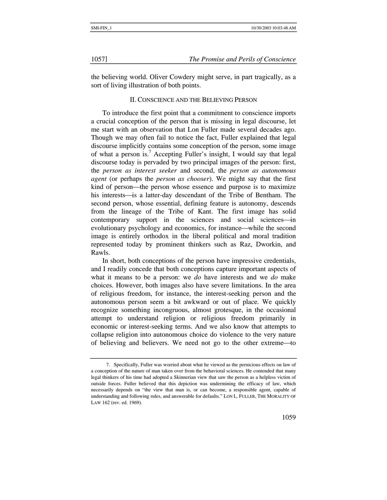the believing world. Oliver Cowdery might serve, in part tragically, as a sort of living illustration of both points.

#### II. CONSCIENCE AND THE BELIEVING PERSON

To introduce the first point that a commitment to conscience imports a crucial conception of the person that is missing in legal discourse, let me start with an observation that Lon Fuller made several decades ago. Though we may often fail to notice the fact, Fuller explained that legal discourse implicitly contains some conception of the person, some image of what a person is.<sup>[7](#page-3-0)</sup> Accepting Fuller's insight, I would say that legal discourse today is pervaded by two principal images of the person: first, the *person as interest seeker* and second, the *person as autonomous agent* (or perhaps the *person as chooser*). We might say that the first kind of person—the person whose essence and purpose is to maximize his interests—is a latter-day descendant of the Tribe of Bentham. The second person, whose essential, defining feature is autonomy, descends from the lineage of the Tribe of Kant. The first image has solid contemporary support in the sciences and social sciences—in evolutionary psychology and economics, for instance—while the second image is entirely orthodox in the liberal political and moral tradition represented today by prominent thinkers such as Raz, Dworkin, and Rawls.

In short, both conceptions of the person have impressive credentials, and I readily concede that both conceptions capture important aspects of what it means to be a person: we *do* have interests and we *do* make choices. However, both images also have severe limitations. In the area of religious freedom, for instance, the interest-seeking person and the autonomous person seem a bit awkward or out of place. We quickly recognize something incongruous, almost grotesque, in the occasional attempt to understand religion or religious freedom primarily in economic or interest-seeking terms. And we also know that attempts to collapse religion into autonomous choice do violence to the very nature of believing and believers. We need not go to the other extreme—to

<span id="page-3-0"></span><sup>7.</sup> Specifically, Fuller was worried about what he viewed as the pernicious effects on law of a conception of the nature of man taken over from the behavioral sciences. He contended that many legal thinkers of his time had adopted a Skinnerian view that saw the person as a helpless victim of outside forces. Fuller believed that this depiction was undermining the efficacy of law, which necessarily depends on "the view that man is, or can become, a responsible agent, capable of understanding and following rules, and answerable for defaults." LON L. FULLER, THE MORALITY OF LAW 162 (rev. ed. 1969).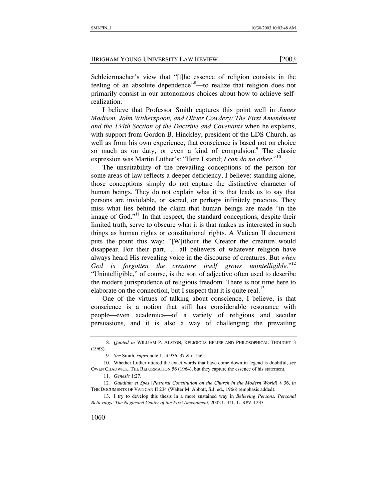Schleiermacher's view that "[t]he essence of religion consists in the feeling of an absolute dependence<sup>3[8](#page-4-0)</sup>—to realize that religion does not primarily consist in our autonomous choices about how to achieve selfrealization.

I believe that Professor Smith captures this point well in *James Madison, John Witherspoon, and Oliver Cowdery: The First Amendment and the 134th Section of the Doctrine and Covenants* when he explains, with support from Gordon B. Hinckley, president of the LDS Church, as well as from his own experience, that conscience is based not on choice so much as on duty, or even a kind of compulsion.<sup>[9](#page-4-1)</sup> The classic expression was Martin Luther's: "Here I stand; *I can do no other.*" [10](#page-4-2)

The unsuitability of the prevailing conceptions of the person for some areas of law reflects a deeper deficiency, I believe: standing alone, those conceptions simply do not capture the distinctive character of human beings. They do not explain what it is that leads us to say that persons are inviolable, or sacred, or perhaps infinitely precious. They miss what lies behind the claim that human beings are made "in the image of God."<sup>11</sup> In that respect, the standard conceptions, despite their limited truth, serve to obscure what it is that makes us interested in such things as human rights or constitutional rights. A Vatican II document puts the point this way: "[W]ithout the Creator the creature would disappear. For their part, ... all believers of whatever religion have always heard His revealing voice in the discourse of creatures. But *when*  God is forgotten the creature itself grows unintelligible."<sup>[12](#page-4-4)</sup> "Unintelligible," of course, is the sort of adjective often used to describe the modern jurisprudence of religious freedom. There is not time here to elaborate on the connection, but I suspect that it is quite real.<sup>[13](#page-4-5)</sup>

One of the virtues of talking about conscience, I believe, is that conscience is a notion that still has considerable resonance with people⎯even academics⎯of a variety of religious and secular persuasions, and it is also a way of challenging the prevailing

<span id="page-4-0"></span><sup>8</sup>*. Quoted in* WILLIAM P. ALSTON, RELIGIOUS BELIEF AND PHILOSOPHICAL THOUGHT 3 (1963).

<span id="page-4-2"></span><span id="page-4-1"></span><sup>9</sup>*. See* Smith, *supra* note 1, at 936–37 & n.156.

<sup>10.</sup> Whether Luther uttered the exact words that have come down in legend is doubtful, *see* OWEN CHADWICK, THE REFORMATION 56 (1964), but they capture the essence of his statement.

<span id="page-4-4"></span><span id="page-4-3"></span><sup>11</sup>*. Genesis* 1:27.

<sup>12</sup>*. Gaudium et Spes* [*Pastoral Constitution on the Church in the Modern World*] § 36, *in* THE DOCUMENTS OF VATICAN II 234 (Walter M. Abbott, S.J. ed., 1966) (emphasis added).

<span id="page-4-5"></span><sup>13.</sup> I try to develop this thesis in a more sustained way in *Believing Persons, Personal Believings: The Neglected Center of the First Amendment*, 2002 U. ILL. L. REV. 1233.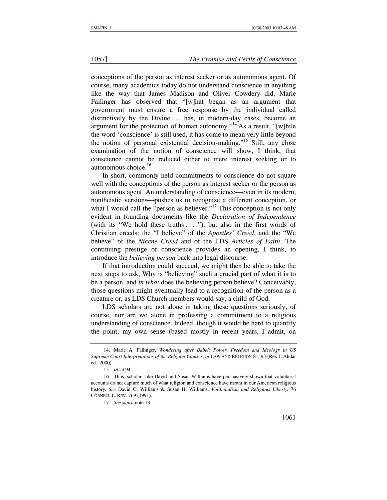#### 1057] *The Promise and Perils of Conscience*

conceptions of the person as interest seeker or as autonomous agent. Of course, many academics today do not understand conscience in anything like the way that James Madison and Oliver Cowdery did. Marie Failinger has observed that "[w]hat began as an argument that government must ensure a free response by the individual called distinctively by the Divine . . . has, in modern-day cases, become an argument for the protection of human autonomy."<sup>[14](#page-5-0)</sup> As a result, "[w]hile the word 'conscience' is still used, it has come to mean very little beyond the notion of personal existential decision-making."[15](#page-5-1) Still, any close examination of the notion of conscience will show, I think, that conscience cannot be reduced either to mere interest seeking or to autonomous choice. $16$ 

In short, commonly held commitments to conscience do not square well with the conceptions of the person as interest seeker or the person as autonomous agent. An understanding of conscience—even in its modern, nontheistic versions—pushes us to recognize a different conception, or what I would call the "person as believer."<sup>17</sup> This conception is not only evident in founding documents like the *Declaration of Independence*  (with its "We hold these truths  $\dots$ "), but also in the first words of Christian creeds: the "I believe" of the *Apostles' Creed*, and the "We believe" of the *Nicene Creed* and of the LDS *Articles of Faith*. The continuing prestige of conscience provides an opening, I think, to introduce the *believing person* back into legal discourse.

If that introduction could succeed, we might then be able to take the next steps to ask, Why is "believing" such a crucial part of what it is to be a person, and *in what* does the believing person believe? Conceivably, those questions might eventually lead to a recognition of the person as a creature or, as LDS Church members would say, a child of God.

LDS scholars are not alone in taking these questions seriously, of course, nor are we alone in professing a commitment to a religious understanding of conscience. Indeed, though it would be hard to quantify the point, my own sense (based mostly in recent years, I admit, on

<span id="page-5-0"></span><sup>14.</sup> Marie A. Failinger, *Wondering after Babel: Power, Freedom and Ideology in US Supreme Court Interpretations of the Religion Clauses*, *in* LAW AND RELIGION 81, 93 (Rex J. Ahdar ed., 2000).

<span id="page-5-2"></span><span id="page-5-1"></span><sup>15</sup>*. Id*. at 94.

<sup>16.</sup> Thus, scholars like David and Susan Williams have persuasively shown that voluntarist accounts do not capture much of what religion and conscience have meant in our American religious history. *See* David C. Williams & Susan H. Williams, *Volitionalism and Religious Liberty*, 76 CORNELL L. REV. 769 (1991).

<span id="page-5-3"></span><sup>17</sup>*. See supra* note 13.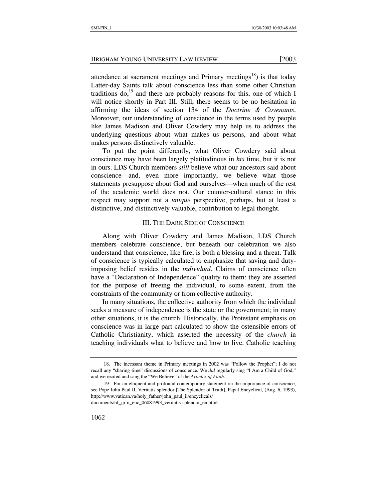attendance at sacrament meetings and Primary meetings<sup>18</sup>) is that today Latter-day Saints talk about conscience less than some other Christian traditions do,<sup>19</sup> and there are probably reasons for this, one of which I will notice shortly in Part III. Still, there seems to be no hesitation in affirming the ideas of section 134 of the *Doctrine & Covenants*. Moreover, our understanding of conscience in the terms used by people like James Madison and Oliver Cowdery may help us to address the underlying questions about what makes us persons, and about what makes persons distinctively valuable.

To put the point differently, what Oliver Cowdery said about conscience may have been largely platitudinous in *his* time, but it is not in ours. LDS Church members *still* believe what our ancestors said about conscience—and, even more importantly, we believe what those statements presuppose about God and ourselves—when much of the rest of the academic world does not. Our counter-cultural stance in this respect may support not a *unique* perspective, perhaps, but at least a distinctive, and distinctively valuable, contribution to legal thought.

#### III. THE DARK SIDE OF CONSCIENCE

Along with Oliver Cowdery and James Madison, LDS Church members celebrate conscience, but beneath our celebration we also understand that conscience, like fire, is both a blessing and a threat. Talk of conscience is typically calculated to emphasize that saving and dutyimposing belief resides in the *individual*. Claims of conscience often have a "Declaration of Independence" quality to them: they are asserted for the purpose of freeing the individual, to some extent, from the constraints of the community or from collective authority.

In many situations, the collective authority from which the individual seeks a measure of independence is the state or the government; in many other situations, it is the church. Historically, the Protestant emphasis on conscience was in large part calculated to show the ostensible errors of Catholic Christianity, which asserted the necessity of the *church* in teaching individuals what to believe and how to live. Catholic teaching

<span id="page-6-0"></span><sup>18.</sup> The incessant theme in Primary meetings in 2002 was "Follow the Prophet"; I do not recall any "sharing time" discussions of conscience. We *did* regularly sing "I Am a Child of God," and we recited and sang the "We Believe" of the *Articles of Faith*.

<span id="page-6-1"></span><sup>19.</sup> For an eloquent and profound contemporary statement on the importance of conscience, see Pope John Paul II, Veritatis splendor [The Splendor of Truth], Papal Encyclical, (Aug. 6, 1993), http://www.vatican.va/holy\_father/john\_paul\_ii/encyclicals/ documents/hf\_jp-ii\_enc\_06081993\_veritatis-splendor\_en.html.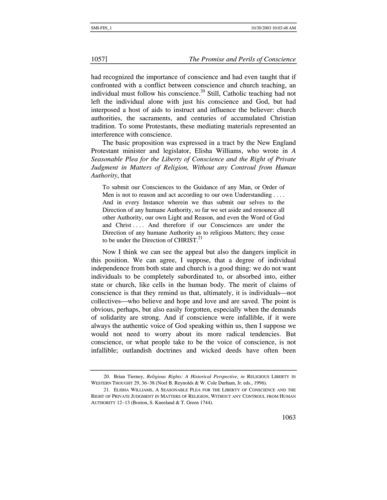#### 1057] *The Promise and Perils of Conscience*

had recognized the importance of conscience and had even taught that if confronted with a conflict between conscience and church teaching, an individual must follow his conscience.<sup>20</sup> Still, Catholic teaching had not left the individual alone with just his conscience and God, but had interposed a host of aids to instruct and influence the believer: church authorities, the sacraments, and centuries of accumulated Christian tradition. To some Protestants, these mediating materials represented an interference with conscience.

The basic proposition was expressed in a tract by the New England Protestant minister and legislator, Elisha Williams, who wrote in *A Seasonable Plea for the Liberty of Conscience and the Right of Private Judgment in Matters of Religion, Without any Controul from Human Authority*, that

To submit our Consciences to the Guidance of any Man, or Order of Men is not to reason and act according to our own Understanding .... And in every Instance wherein we thus submit our selves to the Direction of any humane Authority, so far we set aside and renounce all other Authority, our own Light and Reason, and even the Word of God and Christ . . . . And therefore if our Consciences are under the Direction of any humane Authority as to religious Matters; they cease to be under the Direction of CHRIST. $^{21}$ 

Now I think we can see the appeal but also the dangers implicit in this position. We can agree, I suppose, that a degree of individual independence from both state and church is a good thing: we do not want individuals to be completely subordinated to, or absorbed into, either state or church, like cells in the human body. The merit of claims of conscience is that they remind us that, ultimately, it is individuals—not collectives—who believe and hope and love and are saved. The point is obvious, perhaps, but also easily forgotten, especially when the demands of solidarity are strong. And if conscience were infallible, if it were always the authentic voice of God speaking within us, then I suppose we would not need to worry about its more radical tendencies. But conscience, or what people take to be the voice of conscience, is not infallible; outlandish doctrines and wicked deeds have often been

<span id="page-7-0"></span><sup>20.</sup> Brian Tierney, *Religious Rights: A Historical Perspective*, *in* RELIGIOUS LIBERTY IN WESTERN THOUGHT 29, 36−38 (Noel B. Reynolds & W. Cole Durham, Jr. eds., 1996).

<span id="page-7-1"></span><sup>21.</sup> ELISHA WILLIAMS, A SEASONABLE PLEA FOR THE LIBERTY OF CONSCIENCE AND THE RIGHT OF PRIVATE JUDGMENT IN MATTERS OF RELIGION, WITHOUT ANY CONTROUL FROM HUMAN AUTHORITY 12−13 (Boston, S. Kneeland & T. Green 1744).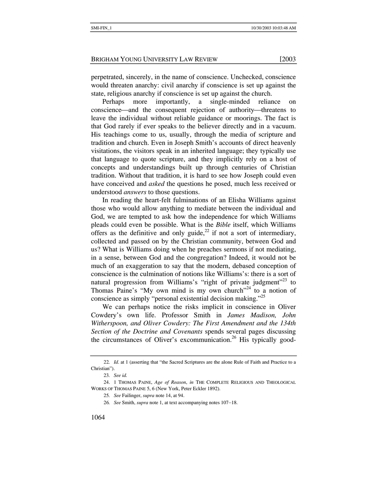perpetrated, sincerely, in the name of conscience. Unchecked, conscience would threaten anarchy: civil anarchy if conscience is set up against the state, religious anarchy if conscience is set up against the church.

Perhaps more importantly, a single-minded reliance on conscience—and the consequent rejection of authority—threatens to leave the individual without reliable guidance or moorings. The fact is that God rarely if ever speaks to the believer directly and in a vacuum. His teachings come to us, usually, through the media of scripture and tradition and church. Even in Joseph Smith's accounts of direct heavenly visitations, the visitors speak in an inherited language; they typically use that language to quote scripture, and they implicitly rely on a host of concepts and understandings built up through centuries of Christian tradition. Without that tradition, it is hard to see how Joseph could even have conceived and *asked* the questions he posed, much less received or understood *answers* to those questions.

In reading the heart-felt fulminations of an Elisha Williams against those who would allow anything to mediate between the individual and God, we are tempted to ask how the independence for which Williams pleads could even be possible. What is the *Bible* itself, which Williams offers as the definitive and only guide,<sup>22</sup> if not a sort of intermediary, collected and passed on by the Christian community, between God and us? What is Williams doing when he preaches sermons if not mediating, in a sense, between God and the congregation? Indeed, it would not be much of an exaggeration to say that the modern, debased conception of conscience is the culmination of notions like Williams's: there is a sort of natural progression from Williams's "right of private judgment"<sup>23</sup> to Thomas Paine's "My own mind is my own church"<sup>24</sup> to a notion of conscience as simply "personal existential decision making."[25](#page-8-3)

We can perhaps notice the risks implicit in conscience in Oliver Cowdery's own life. Professor Smith in *James Madison, John Witherspoon, and Oliver Cowdery: The First Amendment and the 134th Section of the Doctrine and Covenants* spends several pages discussing the circumstances of Oliver's excommunication.<sup>26</sup> His typically good-

<span id="page-8-0"></span><sup>22</sup>*. Id*. at 1 (asserting that "the Sacred Scriptures are the alone Rule of Faith and Practice to a Christian").

<span id="page-8-2"></span><span id="page-8-1"></span><sup>23</sup>*. See id.*

<sup>24. 1</sup> THOMAS PAINE, *Age of Reason*, *in* THE COMPLETE RELIGIOUS AND THEOLOGICAL WORKS OF THOMAS PAINE 5, 6 (New York, Peter Eckler 1892).

<span id="page-8-3"></span><sup>25</sup>*. See* Failinger, *supra* note 14, at 94.

<span id="page-8-4"></span><sup>26</sup>*. See* Smith, *supra* note 1, at text accompanying notes 107−18.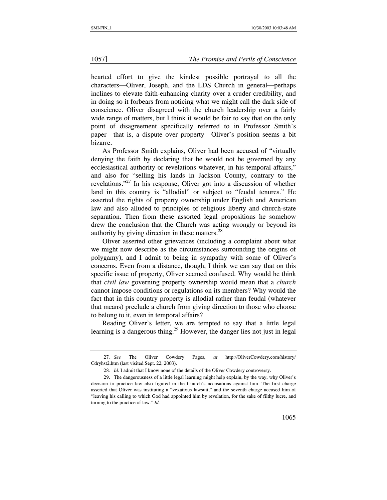hearted effort to give the kindest possible portrayal to all the characters—Oliver, Joseph, and the LDS Church in general—perhaps inclines to elevate faith-enhancing charity over a cruder credibility, and in doing so it forbears from noticing what we might call the dark side of conscience. Oliver disagreed with the church leadership over a fairly wide range of matters, but I think it would be fair to say that on the only point of disagreement specifically referred to in Professor Smith's paper—that is, a dispute over property—Oliver's position seems a bit bizarre.

As Professor Smith explains, Oliver had been accused of "virtually denying the faith by declaring that he would not be governed by any ecclesiastical authority or revelations whatever, in his temporal affairs," and also for "selling his lands in Jackson County, contrary to the revelations."[27](#page-9-0) In his response, Oliver got into a discussion of whether land in this country is "allodial" or subject to "feudal tenures." He asserted the rights of property ownership under English and American law and also alluded to principles of religious liberty and church-state separation. Then from these assorted legal propositions he somehow drew the conclusion that the Church was acting wrongly or beyond its authority by giving direction in these matters.<sup>[28](#page-9-1)</sup>

Oliver asserted other grievances (including a complaint about what we might now describe as the circumstances surrounding the origins of polygamy), and I admit to being in sympathy with some of Oliver's concerns. Even from a distance, though, I think we can say that on this specific issue of property, Oliver seemed confused. Why would he think that *civil law* governing property ownership would mean that a *church* cannot impose conditions or regulations on its members? Why would the fact that in this country property is allodial rather than feudal (whatever that means) preclude a church from giving direction to those who choose to belong to it, even in temporal affairs?

Reading Oliver's letter, we are tempted to say that a little legal learning is a dangerous thing.<sup>29</sup> However, the danger lies not just in legal

<span id="page-9-0"></span><sup>27</sup>*. See* The Oliver Cowdery Pages, *at* http://OliverCowdery.com/history/ Cdryhst2.htm (last visited Sept. 22, 2003).

<span id="page-9-2"></span><span id="page-9-1"></span><sup>28</sup>*. Id*. I admit that I know none of the details of the Oliver Cowdery controversy.

<sup>29.</sup> The dangerousness of a little legal learning might help explain, by the way, why Oliver's decision to practice law also figured in the Church's accusations against him. The first charge asserted that Oliver was instituting a "vexatious lawsuit," and the seventh charge accused him of "leaving his calling to which God had appointed him by revelation, for the sake of filthy lucre, and turning to the practice of law." *Id*.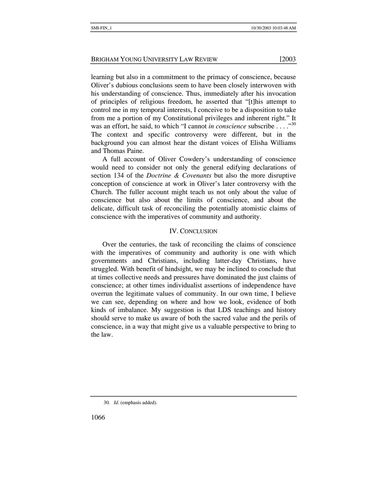learning but also in a commitment to the primacy of conscience, because Oliver's dubious conclusions seem to have been closely interwoven with his understanding of conscience. Thus, immediately after his invocation of principles of religious freedom, he asserted that "[t]his attempt to control me in my temporal interests, I conceive to be a disposition to take from me a portion of my Constitutional privileges and inherent right." It was an effort, he said, to which "I cannot *in conscience* subscribe . . . . "<sup>[30](#page-10-0)</sup> The context and specific controversy were different, but in the background you can almost hear the distant voices of Elisha Williams and Thomas Paine.

A full account of Oliver Cowdery's understanding of conscience would need to consider not only the general edifying declarations of section 134 of the *Doctrine & Covenants* but also the more disruptive conception of conscience at work in Oliver's later controversy with the Church. The fuller account might teach us not only about the value of conscience but also about the limits of conscience, and about the delicate, difficult task of reconciling the potentially atomistic claims of conscience with the imperatives of community and authority.

#### IV. CONCLUSION

Over the centuries, the task of reconciling the claims of conscience with the imperatives of community and authority is one with which governments and Christians, including latter-day Christians, have struggled. With benefit of hindsight, we may be inclined to conclude that at times collective needs and pressures have dominated the just claims of conscience; at other times individualist assertions of independence have overrun the legitimate values of community. In our own time, I believe we can see, depending on where and how we look, evidence of both kinds of imbalance. My suggestion is that LDS teachings and history should serve to make us aware of both the sacred value and the perils of conscience, in a way that might give us a valuable perspective to bring to the law.

1066

<span id="page-10-0"></span><sup>30</sup>*. Id*. (emphasis added).